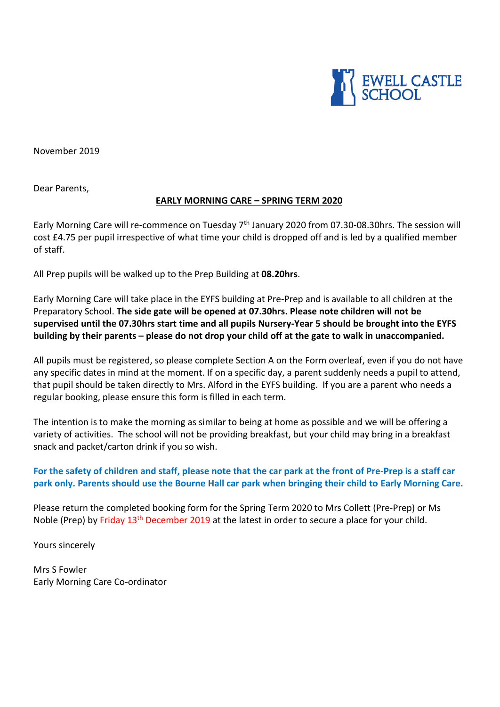

November 2019

Dear Parents,

### **EARLY MORNING CARE – SPRING TERM 2020**

Early Morning Care will re-commence on Tuesday 7<sup>th</sup> January 2020 from 07.30-08.30hrs. The session will cost £4.75 per pupil irrespective of what time your child is dropped off and is led by a qualified member of staff.

All Prep pupils will be walked up to the Prep Building at **08.20hrs**.

Early Morning Care will take place in the EYFS building at Pre-Prep and is available to all children at the Preparatory School. **The side gate will be opened at 07.30hrs. Please note children will not be supervised until the 07.30hrs start time and all pupils Nursery-Year 5 should be brought into the EYFS building by their parents – please do not drop your child off at the gate to walk in unaccompanied.** 

All pupils must be registered, so please complete Section A on the Form overleaf, even if you do not have any specific dates in mind at the moment. If on a specific day, a parent suddenly needs a pupil to attend, that pupil should be taken directly to Mrs. Alford in the EYFS building. If you are a parent who needs a regular booking, please ensure this form is filled in each term.

The intention is to make the morning as similar to being at home as possible and we will be offering a variety of activities. The school will not be providing breakfast, but your child may bring in a breakfast snack and packet/carton drink if you so wish.

# **For the safety of children and staff, please note that the car park at the front of Pre-Prep is a staff car park only. Parents should use the Bourne Hall car park when bringing their child to Early Morning Care.**

Please return the completed booking form for the Spring Term 2020 to Mrs Collett (Pre-Prep) or Ms Noble (Prep) by Friday 13<sup>th</sup> December 2019 at the latest in order to secure a place for your child.

Yours sincerely

Mrs S Fowler Early Morning Care Co-ordinator